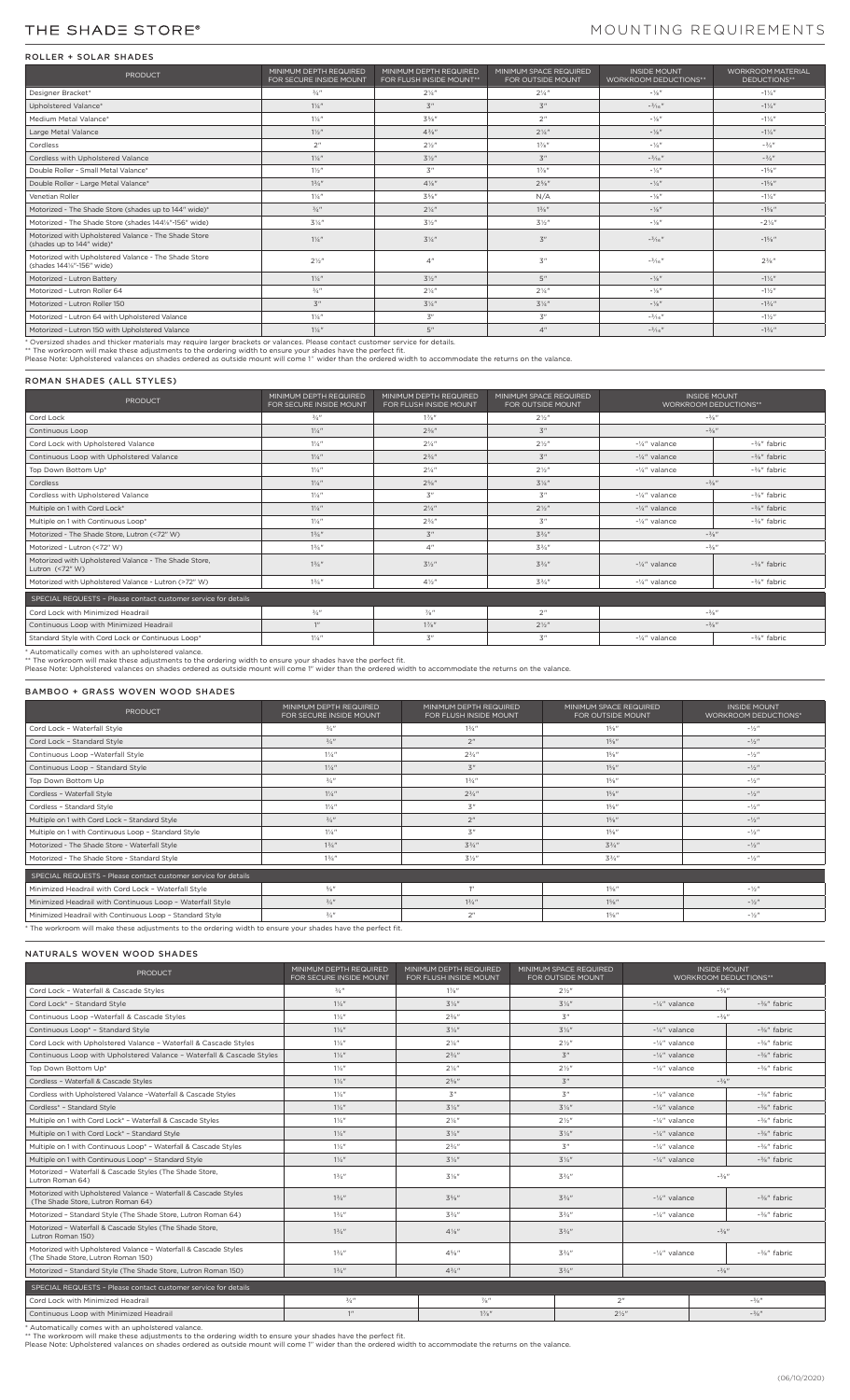## THE SHADE STORE®

# MOUNTING REQUIREMENTS

|                                                                                   | MINIMUM DEPTH REQUIRED  | MINIMUM DEPTH REQUIRED   | MINIMUM SPACE REQUIRED | <b>INSIDE MOUNT</b>          | <b>WORKROOM MATERIAL</b> |
|-----------------------------------------------------------------------------------|-------------------------|--------------------------|------------------------|------------------------------|--------------------------|
| <b>PRODUCT</b>                                                                    | FOR SECURE INSIDE MOUNT | FOR FLUSH INSIDE MOUNT** | FOR OUTSIDE MOUNT      | <b>WORKROOM DEDUCTIONS**</b> | DEDUCTIONS**             |
| Designer Bracket*                                                                 | $\frac{3}{4}$ "         | $2\frac{1}{4}$ "         | $2\frac{1}{4}$ "       | $-1/8''$                     | $-1\frac{1}{4}$          |
| Upholstered Valance*                                                              | $1\frac{1}{4}$ "        | 3"                       | 3"                     | $-3/16''$                    | $-1\frac{1}{4}$          |
| Medium Metal Valance*                                                             | $1\frac{1}{4}$ "        | $3\frac{5}{8}$ "         | 2 <sup>n</sup>         | $-1/n''$                     | $-1\frac{1}{4}$ "        |
| Large Metal Valance                                                               | $1\frac{1}{2}$ "        | $4\frac{3}{8}$ "         | $2\frac{1}{4}$ "       | $-1/8''$                     | $-1\frac{1}{4}$ "        |
| Cordless                                                                          | 2 <sup>n</sup>          | $2\frac{1}{2}$ "         | $1\%$ "                | $-1/4$ "                     | $-3/4$ "                 |
| Cordless with Upholstered Valance                                                 | $1\frac{1}{4}$ "        | $3\frac{1}{2}$ "         | 3"                     | $-3/16''$                    | $-3/4$ <sup>11</sup>     |
| Double Roller - Small Metal Valance*                                              | $1\frac{1}{2}$ "        | $\mathbf{Z}^n$           | $1\%$ "                | $-1/a''$                     | $-1\frac{5}{8}$ "        |
| Double Roller - Large Metal Valance*                                              | $1\frac{3}{4}$ "        | $4\frac{1}{8}$ "         | $2\frac{5}{8}$ "       | $-1/a''$                     | $-1\frac{5}{8}$ "        |
| Venetian Roller                                                                   | $1\frac{1}{4}$ "        | $3\frac{5}{8}$ "         | N/A                    | $-1/8$ "                     | $-1\frac{1}{4}$ "        |
| Motorized - The Shade Store (shades up to 144" wide)*                             | $\frac{3}{4}$ "         | $2\frac{1}{4}$ "         | $1\frac{3}{8}$ "       | $-1/8''$                     | $-1\frac{5}{8}$ "        |
| Motorized - The Shade Store (shades 144%"-156" wide)                              | $3\frac{1}{4}$          | $3\frac{1}{2}$ "         | $3\frac{1}{2}$ "       | $-1/8''$                     | $-2\frac{1}{4}$ "        |
| Motorized with Upholstered Valance - The Shade Store<br>(shades up to 144" wide)* | $1\frac{1}{4}$ "        | $3\frac{1}{4}$ "         | 3''                    | $-3/16''$                    | $-1\frac{5}{8}$ "        |
| Motorized with Upholstered Valance - The Shade Store<br>(shades 144%"-156" wide)  | $2\frac{1}{2}$ "        | 4"                       | 3"                     | $-3/16''$                    | $2\frac{3}{8}$ "         |
| Motorized - Lutron Battery                                                        | $1\frac{1}{4}$ "        | $3\frac{1}{2}$ "         | 5"                     | $-1/8''$                     | $-1\frac{1}{4}$ "        |
| Motorized - Lutron Roller 64                                                      | 3/a''                   | $2\frac{1}{4}$ "         | $2\frac{1}{4}$ "       | $-1/8''$                     | $-1\frac{1}{2}$          |
| Motorized - Lutron Roller 150                                                     | $\overline{3}$ "        | $3\frac{1}{4}$ "         | $3\frac{1}{4}$ "       | $-1/8$ "                     | $-13/4''$                |
| Motorized - Lutron 64 with Upholstered Valance                                    | $1\frac{1}{4}$ "        | 3"                       | 3"                     | $-3/16''$                    | $-1\frac{1}{2}$ "        |
| Motorized - Lutron 150 with Upholstered Valance                                   | $1\frac{1}{4}$ "        | 5"                       | 4 <sup>n</sup>         | $-3/16''$                    | $-1\frac{3}{4}$ "        |

\* Oversized shades and thicker materials may require larger brackets or valances. Please contact customer service for details.<br>\*\* The workroom will make these adjustments to the ordering width to ensure your shades have th

### ROMAN SHADES (ALL STYLES)

| <b>PRODUCT</b>                                                           | MINIMUM DEPTH REQUIRED<br>FOR SECURE INSIDE MOUNT | MINIMUM DEPTH REQUIRED<br>FOR FLUSH INSIDE MOUNT | MINIMUM SPACE REQUIRED<br>FOR OUTSIDE MOUNT | <b>INSIDE MOUNT</b><br><b>WORKROOM DEDUCTIONS**</b> |                           |
|--------------------------------------------------------------------------|---------------------------------------------------|--------------------------------------------------|---------------------------------------------|-----------------------------------------------------|---------------------------|
| Cord Lock                                                                | $\frac{3}{4}$ "                                   | $1\%$ "                                          | $2\frac{1}{2}$ "                            | $-3/a''$                                            |                           |
| Continuous Loop                                                          | $1\frac{1}{4}$                                    | $2\frac{3}{8}$ "                                 | $\mathbf{Z}^n$                              | $-3/a''$                                            |                           |
| Cord Lock with Upholstered Valance                                       | $1\frac{1}{4}$ "                                  | $2\frac{1}{4}$ "                                 | $2\frac{1}{2}$ "                            | -1/4" valance                                       | -3/ <sub>8</sub> " fabric |
| Continuous Loop with Upholstered Valance                                 | $1\frac{1}{4}$                                    | $2\frac{3}{4}$ "                                 | 3''                                         | $-1/4$ " valance                                    | $-3/8$ " fabric           |
| Top Down Bottom Up*                                                      | $1\frac{1}{4}$ "                                  | $2\frac{1}{4}$ "                                 | $2\frac{1}{2}$ "                            | $-$ 1/4" valance                                    | -3/ <sub>8</sub> " fabric |
| Cordless                                                                 | $1\frac{1}{4}$                                    | $2\frac{5}{8}$ "                                 | $3\frac{1}{4}$ "                            | $-3/a''$                                            |                           |
| Cordless with Upholstered Valance                                        | $1\frac{1}{4}$ "                                  | $\mathbf{Z}^{\prime\prime}$                      | 3"                                          | $-1/4$ " valance                                    | -3/ <sub>8</sub> " fabric |
| Multiple on 1 with Cord Lock*                                            | $1\frac{1}{4}$ "                                  | $2\frac{1}{4}$ "                                 | $2\frac{1}{2}$ "                            | $-1/4$ " valance                                    | $-3/8$ " fabric           |
| Multiple on 1 with Continuous Loop*                                      | $1\frac{1}{4}$ "                                  | $2\frac{3}{4}$ "                                 | 3"                                          | -3/ <sub>8</sub> " fabric<br>$-1/4$ " valance       |                           |
| Motorized - The Shade Store, Lutron (<72" W)                             | 13/a''                                            | 3"                                               | $3^{3}/4''$                                 | $-3/8''$                                            |                           |
| Motorized - Lutron (<72" W)                                              | 13/4''                                            | 4"                                               | $3^{3}/4''$                                 | $-3/8''$                                            |                           |
| Motorized with Upholstered Valance - The Shade Store,<br>Lutron (<72" W) | $1\frac{3}{4}$ "                                  | $3\frac{1}{2}$ "                                 | $3\frac{3}{4}$ "                            | $-$ 1/4" valance                                    | -3/ <sub>8</sub> " fabric |
| Motorized with Upholstered Valance - Lutron (>72" W)                     | 13/4''                                            | $4\frac{1}{2}$ "                                 | $3\frac{3}{4}$ "                            | $-1/4$ " valance                                    | -3/ <sub>8</sub> " fabric |
| SPECIAL REQUESTS - Please contact customer service for details           |                                                   |                                                  |                                             |                                                     |                           |
| Cord Lock with Minimized Headrail                                        | 3/a''                                             | $\frac{7}{8}$ "                                  | 2 <sup>n</sup>                              | $-3/8''$                                            |                           |
| Continuous Loop with Minimized Headrail                                  | 111                                               | $1\frac{7}{8}$ "                                 | $2\frac{1}{2}$ "                            | $-3/8''$                                            |                           |
| Standard Style with Cord Lock or Continuous Loop*                        | $1\frac{1}{4}$ "                                  | $\overline{5}$ "                                 | 3"                                          | $-3/a''$ fabric<br>-1/4" valance                    |                           |

\* Automatically comes with an upholstered valance.<br>\*\* The workroom will make these adjustments to the ordering width to ensure your shades have the perfect fit.<br>Please Note: Upholstered valances on shades ordered as outsid

BAMBOO + GRASS WOVEN WOOD SHADES

| <b>PRODUCT</b>                                                                                               | MINIMUM DEPTH REQUIRED<br>FOR SECURE INSIDE MOUNT | MINIMUM DEPTH REQUIRED<br>FOR FLUSH INSIDE MOUNT | MINIMUM SPACE REQUIRED<br>FOR OUTSIDE MOUNT | <b>INSIDE MOUNT</b><br><b>WORKROOM DEDUCTIONS*</b> |
|--------------------------------------------------------------------------------------------------------------|---------------------------------------------------|--------------------------------------------------|---------------------------------------------|----------------------------------------------------|
| Cord Lock - Waterfall Style                                                                                  | 3/4''                                             | $1\frac{3}{4}$ "                                 | $1\%$ "                                     | $-1/2$ "                                           |
| Cord Lock - Standard Style                                                                                   | 3/a''                                             | 2 <sup>n</sup>                                   | 15/8"                                       | $-1/2$                                             |
| Continuous Loop - Waterfall Style                                                                            | $1\frac{1}{4}$ "                                  | $2\frac{3}{4}$ "                                 | $1\frac{5}{8}$ "                            | $-1/2$ "                                           |
| Continuous Loop - Standard Style                                                                             | $1\frac{1}{4}$ "                                  | $\overline{3}$ "                                 | 15/8"                                       | $-1/2$                                             |
| Top Down Bottom Up                                                                                           | 3/a''                                             | 13/4''                                           | $1\frac{5}{8}$ "                            | $-1/2$ "                                           |
| Cordless - Waterfall Style                                                                                   | $1\frac{1}{4}$ "                                  | $2^{3}/4''$                                      | $1\frac{5}{8}$ "                            | $-1/2$ "                                           |
| Cordless - Standard Style                                                                                    | $1\frac{1}{4}$ "                                  | $\overline{5}$ "                                 | 15/8"                                       | $-1/2$ "                                           |
| Multiple on 1 with Cord Lock - Standard Style                                                                | 3/a''                                             | 2 <sup>n</sup>                                   | 15/8"                                       | $-1/2$ "                                           |
| Multiple on 1 with Continuous Loop - Standard Style                                                          | $1\frac{1}{4}$ "                                  | $\overline{5}$ "                                 | 15/8"                                       | $-1/2$ "                                           |
| Motorized - The Shade Store - Waterfall Style                                                                | 13/a''                                            | $3^{3}/4''$                                      | $3^{3}/4''$                                 | $-1/2$ <sup>11</sup>                               |
| Motorized - The Shade Store - Standard Style                                                                 | $1\frac{3}{4}$ "                                  | $3\frac{1}{2}$ "                                 | $3\frac{3}{4}$ "                            | $-1/2$ "                                           |
| SPECIAL REQUESTS - Please contact customer service for details                                               |                                                   |                                                  |                                             |                                                    |
| Minimized Headrail with Cord Lock - Waterfall Style                                                          | $\frac{5}{8}$ "                                   | 10 <sub>11</sub>                                 | $1\frac{5}{8}$ "                            | $-1/2''$                                           |
| Minimized Headrail with Continuous Loop - Waterfall Style                                                    | $\frac{3}{4}$ "                                   | $1\frac{3}{4}$ "                                 | $1\frac{5}{8}$ "                            | $-1/2$ "                                           |
| Minimized Headrail with Continuous Loop - Standard Style                                                     | $\frac{3}{4}$ "                                   | 2 <sup>n</sup>                                   | $1\frac{5}{8}$ "                            | $-1/2''$                                           |
| * The workroom will make these adjustments to the ordering width to ensure your shades have the perfect fit. |                                                   |                                                  |                                             |                                                    |

#### NATURALS WOVEN WOOD SHADES

| PRODUCT                                                                                                | MINIMUM DEPTH REQUIRED<br>FOR SECURE INSIDE MOUNT | MINIMUM DEPTH REQUIRED<br>FOR FLUSH INSIDE MOUNT | MINIMUM SPACE REQUIRED<br>FOR OUTSIDE MOUNT |                  |          | <b>INSIDE MOUNT</b><br><b>WORKROOM DEDUCTIONS**</b> |
|--------------------------------------------------------------------------------------------------------|---------------------------------------------------|--------------------------------------------------|---------------------------------------------|------------------|----------|-----------------------------------------------------|
| Cord Lock - Waterfall & Cascade Styles                                                                 | $\frac{3}{4}$ "                                   | $1\%$ "                                          | $2\frac{1}{2}$ "                            |                  | $-3/8''$ |                                                     |
| Cord Lock* - Standard Style                                                                            | $1\frac{1}{4}$ "                                  | $3\frac{1}{4}$ "                                 | $3\frac{1}{4}$ "                            | $-1/4$ " valance |          | $-3/8$ " fabric                                     |
| Continuous Loop - Waterfall & Cascade Styles                                                           | $1\frac{1}{4}$ "                                  | $2\frac{3}{8}$ "                                 | $\overline{5}$ "                            |                  | $-3/a''$ |                                                     |
| Continuous Loop* - Standard Style                                                                      | $1\frac{1}{4}$ "                                  | $3\frac{1}{4}$                                   | $3\frac{1}{4}$ "                            | $-$ 1/4" valance |          | $-3/a''$ fabric.                                    |
| Cord Lock with Upholstered Valance - Waterfall & Cascade Styles                                        | $1\frac{1}{4}$ "                                  | $2\frac{1}{4}$ "                                 | $2\frac{1}{2}$ "                            | $-$ 1/4" valance |          | -3/ <sub>8</sub> " fabric                           |
| Continuous Loop with Upholstered Valance - Waterfall & Cascade Styles                                  | $1\frac{1}{4}$ "                                  | $2^{3}/4''$                                      | $\overline{3}$ "                            | $-1/4$ " valance |          | $-3/8$ " fabric                                     |
| Top Down Bottom Up*                                                                                    | $1\frac{1}{4}$ "                                  | $2\frac{1}{4}$ "                                 | $2\frac{1}{2}$ "                            | $-1/4$ " valance |          | $-3/a''$ fabric                                     |
| Cordless - Waterfall & Cascade Styles                                                                  | $1\frac{1}{4}$ "                                  | $2\frac{5}{8}$ "                                 | 3"                                          |                  | $-3/8$ " |                                                     |
| Cordless with Upholstered Valance -Waterfall & Cascade Styles                                          | $1\frac{1}{4}$ "                                  | 3"                                               | $\mathbf{Z}^n$                              | $-$ 1/4" valance |          | $-3/a''$ fabric                                     |
| Cordless* - Standard Style                                                                             | $1\frac{1}{4}$ "                                  | $3\frac{1}{4}$ "                                 | $3\frac{1}{4}$ "                            | $-$ 1/4" valance |          | $-3/a''$ fabric.                                    |
| Multiple on 1 with Cord Lock* - Waterfall & Cascade Styles                                             | $1\frac{1}{4}$ "                                  | $2\frac{1}{4}$ "                                 | $2\frac{1}{2}$ "                            | $-$ 1/4" valance |          | -3/ <sub>8</sub> " fabric                           |
| Multiple on 1 with Cord Lock* - Standard Style                                                         | $1\frac{1}{4}$ "                                  | $3\frac{1}{4}$ "                                 | $3\frac{1}{4}$                              | $-1/4$ " valance |          | $-3/8$ " fabric                                     |
| Multiple on 1 with Continuous Loop* - Waterfall & Cascade Styles                                       | $1\frac{1}{4}$ "                                  | $2^{3}/4''$                                      | $\overline{5}$ "                            | $-1/4$ " valance |          | -3/ <sub>8</sub> " fabric                           |
| Multiple on 1 with Continuous Loop* - Standard Style                                                   | $1\frac{1}{4}$ "                                  | $3\frac{1}{4}$ "                                 | $3\frac{1}{4}$ "                            | $-$ 1/4" valance |          | $-3/8$ " fabric                                     |
| Motorized - Waterfall & Cascade Styles (The Shade Store,<br>Lutron Roman 64)                           | $1\frac{3}{4}$ "                                  | $3\frac{1}{8}$ "                                 | $3\frac{3}{4}$ "                            |                  | $-3/8''$ |                                                     |
| Motorized with Upholstered Valance - Waterfall & Cascade Styles<br>(The Shade Store, Lutron Roman 64)  | $1\frac{3}{4}$ "                                  | $3\frac{5}{8}$ "                                 | $3^{3}/4''$                                 | $-$ 1/4" valance |          | $-3/a''$ fabric.                                    |
| Motorized - Standard Style (The Shade Store, Lutron Roman 64)                                          | $1\frac{3}{4}$ "                                  | $3\frac{3}{4}$ "                                 | $3\frac{3}{4}$ "                            | $-$ 1/4" valance |          | -3/ <sub>8</sub> " fabric                           |
| Motorized - Waterfall & Cascade Styles (The Shade Store,<br>Lutron Roman 150)                          | $1\frac{3}{4}$ "                                  | $4\frac{1}{8}$ "                                 | $3\frac{3}{4}$ "                            |                  | $-3/8$ " |                                                     |
| Motorized with Upholstered Valance - Waterfall & Cascade Styles<br>(The Shade Store, Lutron Roman 150) | 13/4''                                            | $4\frac{5}{8}$ "                                 | $3\frac{3}{4}$ "                            | $-$ 1/4" valance |          | $-3/a''$ fabric                                     |
| Motorized - Standard Style (The Shade Store, Lutron Roman 150)                                         | $1\frac{3}{4}$ "                                  | $4\frac{3}{4}$ "                                 | $3^{3}/4''$                                 |                  | $-3/a''$ |                                                     |
| SPECIAL REQUESTS - Please contact customer service for details                                         |                                                   |                                                  |                                             |                  |          |                                                     |
| Cord Lock with Minimized Headrail                                                                      | 3/a                                               | $\frac{7}{8}$ "                                  |                                             | 2 <sup>n</sup>   |          | $-3/a''$                                            |
| Continuous Loop with Minimized Headrail                                                                | 1 <sup>n</sup>                                    | $1\%$ "                                          |                                             | $2\frac{1}{2}$ " |          | $-3/a''$                                            |

\* Automatically comes with an upholstered valance.<br>\*\* The workroom will make these adjustments to the ordering width to ensure your shades have the perfect fit.<br>Please Note: Upholstered valances on shades ordered as outsid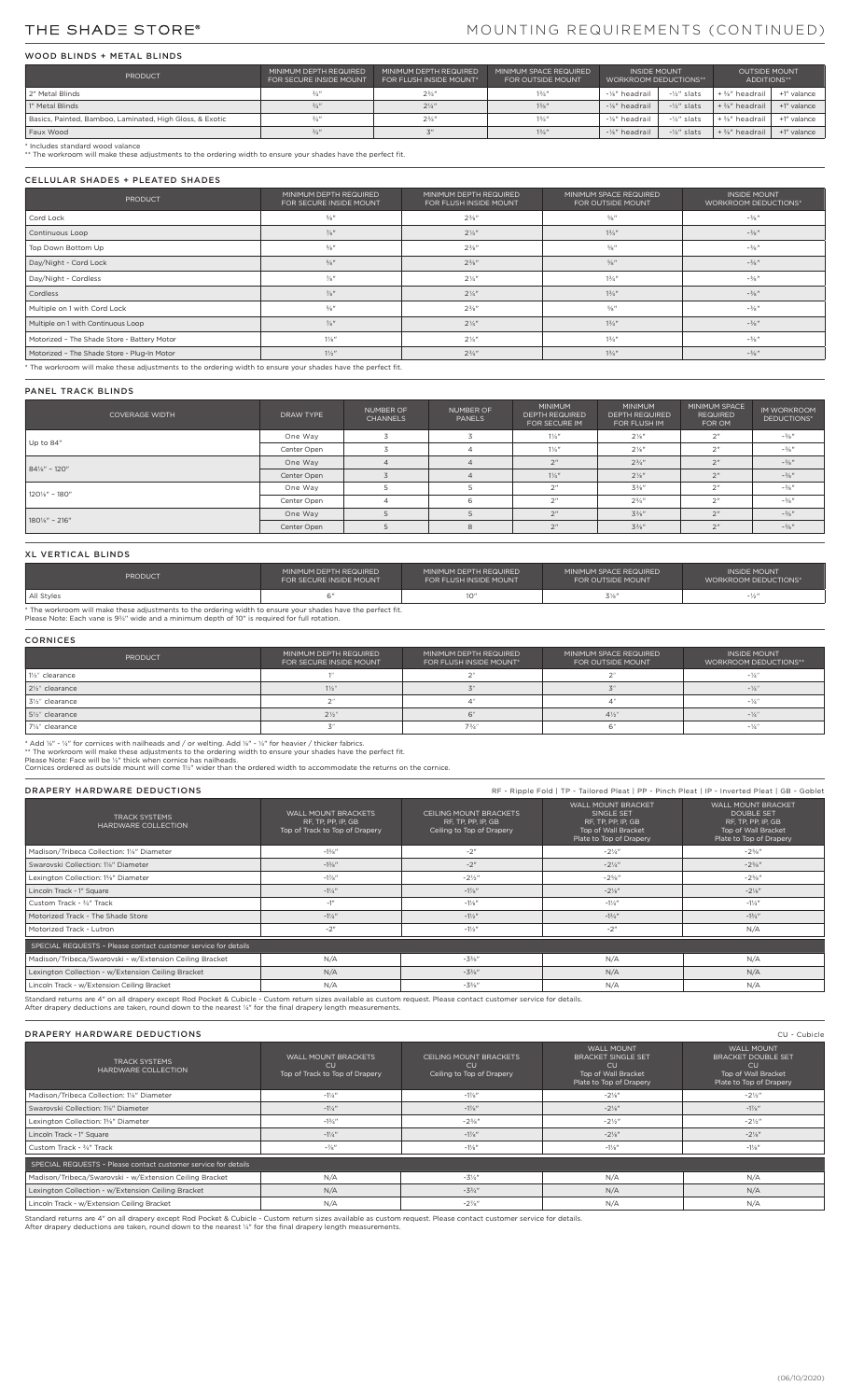## THE SHADE STORE®

## MOUNTING REQUIREMENTS (CONTINUED)

WOOD BLINDS + METAL BLINDS

| <b>PRODUCT</b>                                           | MINIMUM DEPTH REQUIRED<br>FOR SECURE INSIDE MOUNT | MINIMUM DEPTH REQUIRED<br>FOR FILISH INSIDE MOUNT* | MINIMUM SPACE REQUIRED<br>FOR OUTSIDE MOUNT | <b>INSIDE MOUNT</b><br><b>WORKROOM DEDUCTIONS**</b> |                | <b>OUTSIDE MOUNT</b><br>ADDITIONS** |             |
|----------------------------------------------------------|---------------------------------------------------|----------------------------------------------------|---------------------------------------------|-----------------------------------------------------|----------------|-------------------------------------|-------------|
| 2" Metal Blinds                                          |                                                   | $2^{3}/4''$                                        | $1\frac{3}{4}$ "                            | -1⁄8" headrail                                      | $-$ 16" slats  | + 1/8" headrail                     | +1" valance |
| 1" Metal Blinds                                          |                                                   | $2\frac{1}{4}$ "                                   | $1\frac{3}{8}$ "                            | -1⁄8" headrail                                      | $-1/2$ " slats | $+3/8$ " headrail                   | +1" valance |
| Basics, Painted, Bamboo, Laminated, High Gloss, & Exotic |                                                   | $2^{3/4}$                                          | $1\frac{3}{4}$ "                            | -1⁄8" headrail                                      | $-$ 1⁄2" slats | + 1/8" headrail                     | +1" valance |
| Faux Wood                                                |                                                   |                                                    | $1\frac{3}{4}$ "                            | -1/ <sub>8</sub> " headrail                         | $-1/$ " slats  | ∣ + 1⁄8" headrail                   | +1" valance |
| .                                                        |                                                   |                                                    |                                             |                                                     |                |                                     |             |

\* Includes standard wood valance \*\* The workroom will make these adjustments to the ordering width to ensure your shades have the perfect fit.

#### CELLULAR SHADES + PLEATED SHADES

| <b>PRODUCT</b>                              | MINIMUM DEPTH REQUIRED<br>FOR SECURE INSIDE MOUNT          | MINIMUM DEPTH REQUIRED<br>FOR FLUSH INSIDE MOUNT | MINIMUM SPACE REQUIRED<br>FOR OUTSIDE MOUNT | <b>INSIDE MOUNT</b><br><b>WORKROOM DEDUCTIONS*</b> |
|---------------------------------------------|------------------------------------------------------------|--------------------------------------------------|---------------------------------------------|----------------------------------------------------|
| Cord Lock                                   | $\frac{5}{8}$ "                                            | $2\frac{3}{8}$ "                                 | $\frac{5}{8}$ "                             | $-3/8$ $''$                                        |
| Continuous Loop                             | $\frac{7}{8}$ "                                            | $2\frac{1}{4}$ "                                 | $1\frac{3}{4}$ "                            | $-3/8$ "                                           |
| Top Down Bottom Up                          | 5/8"                                                       | $2\frac{3}{8}$ "                                 | $\frac{5}{8}$ "                             | $-3/8$ "                                           |
| Day/Night - Cord Lock                       | $5/8$ $\hspace{0.1cm}\raisebox{0.5pt}{\scriptsize$\sf m$}$ | $2^{3}/8"$                                       | $\frac{5}{8}$ "                             | $-3/8$ "                                           |
| Day/Night - Cordless                        | $\frac{7}{8}$ "                                            | $2\frac{1}{4}$ "                                 | $1\frac{3}{4}$ "                            | $-3/8$ "                                           |
| Cordless                                    | $\frac{7}{8}$ "                                            | $2\frac{1}{4}$ "                                 | $1\frac{3}{4}$ "                            | $-3/8$ "                                           |
| Multiple on 1 with Cord Lock                | 5/8"                                                       | $2\frac{3}{8}$ "                                 | $\frac{5}{8}$ "                             | $-3/8$ "                                           |
| Multiple on 1 with Continuous Loop          | $\frac{7}{8}$ "                                            | $2\frac{1}{4}$                                   | $1\frac{3}{4}$ "                            | $-3/8$ "                                           |
| Motorized - The Shade Store - Battery Motor | $1\frac{1}{8}$ "                                           | $2\frac{1}{4}$ "                                 | $1\frac{3}{4}$ "                            | $-3/8$ "                                           |
| Motorized - The Shade Store - Plug-In Motor | $1\frac{1}{2}$                                             | $2^{3/4}$ "                                      | $1\frac{3}{4}$ "                            | $-3/8$ "                                           |

\* The workroom will make these adjustments to the ordering width to ensure your shades have the perfect fit.

## PANEL TRACK BLINDS

| <b>COVERAGE WIDTH</b> | DRAW TYPE   | NUMBER OF<br><b>CHANNELS</b> | NUMBER OF<br><b>PANELS</b> | <b>MINIMUM</b><br><b>DEPTH REQUIRED</b><br>FOR SECURE IM | <b>MINIMUM</b><br><b>DEPTH REQUIRED</b><br>FOR FLUSH IM | MINIMUM SPACE<br><b>REQUIRED</b><br>FOR OM | IM WORKROOM<br>DEDUCTIONS* |
|-----------------------|-------------|------------------------------|----------------------------|----------------------------------------------------------|---------------------------------------------------------|--------------------------------------------|----------------------------|
| Up to 84"             | One Way     |                              |                            | $1\frac{1}{4}$                                           | $2\frac{1}{8}$ "                                        | 2 <sup>11</sup>                            | $-3/8$ "                   |
|                       | Center Open |                              |                            | $1\frac{1}{4}$                                           | $2\frac{1}{8}$ "                                        | $\gamma$                                   | $-3/8''$                   |
| 841/8" - 120"         | One Way     |                              |                            | 2 <sup>n</sup>                                           | $2^{3/4}$ "                                             | 2 <sup>11</sup>                            | $-3/8$ "                   |
|                       | Center Open |                              |                            | $1\frac{1}{4}$                                           | $2\frac{1}{8}$ "                                        | $\gamma$                                   | $-3/8$ "                   |
| 1201/8" - 180"        | One Way     |                              |                            | $\gamma$                                                 | $3\frac{3}{8}$ "                                        | $\gamma$                                   | $-3/8$ "                   |
|                       | Center Open |                              |                            | 211                                                      | $2^{3/4}$ "                                             | $\sim$                                     | $-3/8''$                   |
| 1801/8" - 216"        | One Way     |                              |                            | $2^{\prime\prime}$                                       | $3\frac{3}{8}$ "                                        | 2 <sup>11</sup>                            | $-3/8''$                   |
|                       | Center Open |                              | 8                          | $2^{\prime\prime}$                                       | $3\frac{3}{8}$ "                                        | 2 <sub>II</sub>                            | $-3/8$ "                   |

#### XL VERTICAL BLINDS

| <b>PRODUCT</b>                                | MINIMUM DEPTH REQUIRED<br>FOR SECURE INSIDE MOUNT | MINIMUM DEPTH REQUIRED<br>FOR FLUSH INSIDE MOUNT | MINIMUM SPACE REQUIRED<br>FOR OUTSIDE MOUNT | <b>INSIDE MOUNT</b><br>WORKROOM DEDUCTIONS* |  |  |  |  |  |
|-----------------------------------------------|---------------------------------------------------|--------------------------------------------------|---------------------------------------------|---------------------------------------------|--|--|--|--|--|
| All Styles                                    |                                                   |                                                  |                                             | $=1/n$                                      |  |  |  |  |  |
| and send the<br><br>$\sim$ $\sim$ $\sim$<br>. |                                                   |                                                  |                                             |                                             |  |  |  |  |  |

\* The workroom will make these adjustments to the ordering width to ensure your shades have the perfect fit.<br>Please Note: Each vane is 9¾" wide and a minimum depth of 10″ is required for full rotation.

CORNICES

| PRODUCT         | MINIMUM DEPTH REQUIRED<br>FOR SECURE INSIDE MOUNT | MINIMUM DEPTH REQUIRED<br>FOR FLUSH INSIDE MOUNT* | MINIMUM SPACE REQUIRED<br>FOR OUTSIDE MOUNT | <b>INSIDE MOUNT</b><br><b>WORKROOM DEDUCTIONS**</b> |
|-----------------|---------------------------------------------------|---------------------------------------------------|---------------------------------------------|-----------------------------------------------------|
| 11/2" clearance |                                                   |                                                   |                                             | $-1/a''$                                            |
| 2½" clearance   | $1\frac{1}{2}$                                    |                                                   |                                             | $-1/a''$                                            |
| 3½" clearance   |                                                   |                                                   |                                             | $-1/a''$                                            |
| 5½" clearance   | $2\frac{1}{2}$ "                                  |                                                   | $4\frac{1}{2}$                              | $-1/a''$                                            |
| 71/4" clearance |                                                   | $73/4$ "                                          |                                             | $-1/a''$                                            |

\* Add ¼" - ¼" for cornices with nailheads and / or welting. Add ¼" - ¼" for heavier / thicker fabrics.<br>\*\* The workroom will make these adjustments to the ordering width to ensure your shades have the perfect fit.<br>Please No

| DRAPERY HARDWARE DEDUCTIONS                                    |                                                                             | RF - Ripple Fold   TP - Tailored Pleat   PP - Pinch Pleat   IP - Inverted Pleat   GB - Goblet |                                                                                                          |                                                                                                                 |  |  |  |
|----------------------------------------------------------------|-----------------------------------------------------------------------------|-----------------------------------------------------------------------------------------------|----------------------------------------------------------------------------------------------------------|-----------------------------------------------------------------------------------------------------------------|--|--|--|
| <b>TRACK SYSTEMS</b><br>HARDWARE COLLECTION                    | WALL MOUNT BRACKETS<br>RF, TP, PP, IP, GB<br>Top of Track to Top of Drapery | CEILING MOUNT BRACKETS<br>RF, TP, PP, IP, GB<br>Ceiling to Top of Drapery                     | WALL MOUNT BRACKET<br>SINGLE SET<br>RF, TP, PP, IP, GB<br>Top of Wall Bracket<br>Plate to Top of Drapery | WALL MOUNT BRACKET<br><b>DOUBLE SET</b><br>RF, TP, PP, IP, GB<br>Top of Wall Bracket<br>Plate to Top of Drapery |  |  |  |
| Madison/Tribeca Collection: 1%" Diameter                       | $-1\frac{3}{8}$ "                                                           | $-2"$                                                                                         | $-2\frac{1}{4}$                                                                                          | $-2\frac{5}{8}$ "                                                                                               |  |  |  |
| Swarovski Collection: 1%" Diameter                             | $-1\frac{3}{8}$ "                                                           | $-2"$                                                                                         | $-2\frac{1}{4}$                                                                                          | $-2\frac{5}{8}$ "                                                                                               |  |  |  |
| Lexington Collection: 1%" Diameter                             | $-1\%$ "                                                                    | $-2\frac{1}{2}$ "                                                                             | $-2\frac{5}{8}$ "                                                                                        | $-2\frac{5}{8}$ "                                                                                               |  |  |  |
| Lincoln Track - 1" Square                                      | $-1\frac{1}{4}$                                                             | $-1\%$ "                                                                                      | $-2\frac{1}{8}$                                                                                          | $-2\frac{1}{8}$ "                                                                                               |  |  |  |
| Custom Track - 3/4" Track                                      | $-1"$                                                                       | $-1\frac{1}{8}$ "                                                                             | $-1\frac{1}{4}$ "                                                                                        | $-1\frac{1}{4}$ "                                                                                               |  |  |  |
| Motorized Track - The Shade Store                              | $-1\frac{1}{4}$                                                             | $-1\frac{1}{2}$                                                                               | $-13/a''$                                                                                                | $-13/a''$                                                                                                       |  |  |  |
| Motorized Track - Lutron                                       | $-2"$                                                                       | $-1\frac{1}{2}$ "                                                                             | $-2"$                                                                                                    | N/A                                                                                                             |  |  |  |
| SPECIAL REQUESTS - Please contact customer service for details |                                                                             |                                                                                               |                                                                                                          |                                                                                                                 |  |  |  |
| Madison/Tribeca/Swarovski - w/Extension Ceiling Bracket        | N/A                                                                         | $-3\frac{3}{8}$ "                                                                             | N/A                                                                                                      | N/A                                                                                                             |  |  |  |
| Lexington Collection - w/Extension Ceiling Bracket             | N/A                                                                         | $-3\frac{3}{8}$ "                                                                             | N/A                                                                                                      | N/A                                                                                                             |  |  |  |
| Lincoln Track - w/Extension Ceiling Bracket                    | N/A                                                                         | $-3\frac{3}{8}$ "                                                                             | N/A                                                                                                      | N/A                                                                                                             |  |  |  |

Standard returns are 4″ on all drapery except Rod Pocket & Cubicle - Custom return sizes available as custom request. Please contact customer service for details.<br>After drapery deductions are taken, round down to the neare

### DRAPERY HARDWARE DEDUCTIONS CU - Cubicle

|                                                                |                                                             |                                                                  |                                                                                                        | -------                                                                                         |
|----------------------------------------------------------------|-------------------------------------------------------------|------------------------------------------------------------------|--------------------------------------------------------------------------------------------------------|-------------------------------------------------------------------------------------------------|
| <b>TRACK SYSTEMS</b><br>HARDWARE COLLECTION                    | WALL MOUNT BRACKETS<br>CU<br>Top of Track to Top of Drapery | CEILING MOUNT BRACKETS<br><b>CU</b><br>Ceiling to Top of Drapery | <b>WALL MOUNT</b><br><b>BRACKET SINGLE SET</b><br>CU<br>Top of Wall Bracket<br>Plate to Top of Drapery | WALL MOUNT<br><b>BRACKET DOUBLE SET</b><br>CU<br>Top of Wall Bracket<br>Plate to Top of Drapery |
| Madison/Tribeca Collection: 1%" Diameter                       | $-1\frac{1}{4}$                                             | $-1\%$ "                                                         | $-2\frac{1}{8}$ "                                                                                      | $-2\frac{1}{2}$ "                                                                               |
| Swarovski Collection: 1%" Diameter                             | $-1\frac{1}{4}$                                             | $-1\frac{7}{8}$ "                                                | $-2\frac{1}{8}$ "                                                                                      | $-1\%$ "                                                                                        |
| Lexington Collection: 1%" Diameter                             | $-1\frac{3}{4}$ "                                           | $-2\frac{3}{8}$ "                                                | $-2\frac{1}{2}$ "                                                                                      | $-2\frac{1}{2}$ "                                                                               |
| Lincoln Track - 1" Square                                      | $-1\frac{1}{4}$                                             | $-1\frac{7}{8}$ "                                                | $-2\frac{1}{8}$ "                                                                                      | $-2\frac{1}{8}$                                                                                 |
| Custom Track - 34" Track                                       | $-7/8''$                                                    | $-1\frac{1}{8}$ "                                                | $-1\frac{1}{8}$ "                                                                                      | $-1\frac{1}{8}$ "                                                                               |
| SPECIAL REQUESTS - Please contact customer service for details |                                                             |                                                                  |                                                                                                        |                                                                                                 |
| Madison/Tribeca/Swarovski - w/Extension Ceiling Bracket        | N/A                                                         | $-3\frac{1}{4}$                                                  | N/A                                                                                                    | N/A                                                                                             |
| Lexington Collection - w/Extension Ceiling Bracket             | N/A                                                         | $-3^{3}/4''$                                                     | N/A                                                                                                    | N/A                                                                                             |
| Lincoln Track - w/Extension Ceiling Bracket                    | N/A                                                         | $-2\frac{7}{8}$ "                                                | N/A                                                                                                    | N/A                                                                                             |
|                                                                |                                                             |                                                                  |                                                                                                        |                                                                                                 |

Standard returns are 4″ on all drapery except Rod Pocket & Cubicle - Custom return sizes available as custom request. Please contact customer service for details.<br>After drapery deductions are taken, round down to the neare